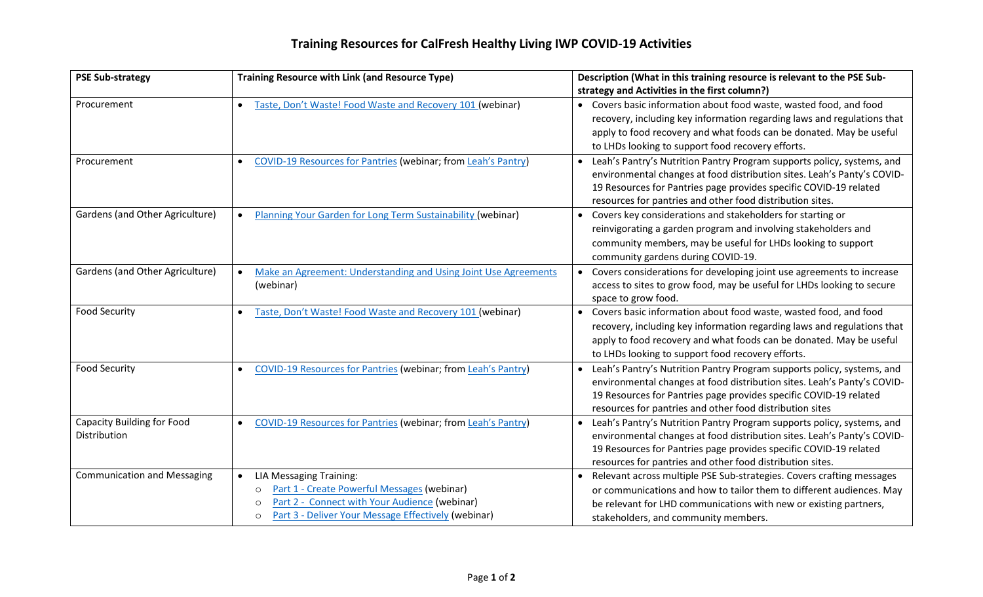## **Training Resources for CalFresh Healthy Living IWP COVID-19 Activities**

| <b>PSE Sub-strategy</b>                           | <b>Training Resource with Link (and Resource Type)</b>                                                                                                                                                                 | Description (What in this training resource is relevant to the PSE Sub-                                                                                                                                                                                                                          |
|---------------------------------------------------|------------------------------------------------------------------------------------------------------------------------------------------------------------------------------------------------------------------------|--------------------------------------------------------------------------------------------------------------------------------------------------------------------------------------------------------------------------------------------------------------------------------------------------|
|                                                   |                                                                                                                                                                                                                        | strategy and Activities in the first column?)                                                                                                                                                                                                                                                    |
| Procurement                                       | Taste, Don't Waste! Food Waste and Recovery 101 (webinar)                                                                                                                                                              | Covers basic information about food waste, wasted food, and food<br>recovery, including key information regarding laws and regulations that<br>apply to food recovery and what foods can be donated. May be useful<br>to LHDs looking to support food recovery efforts.                          |
| Procurement                                       | COVID-19 Resources for Pantries (webinar; from Leah's Pantry)                                                                                                                                                          | Leah's Pantry's Nutrition Pantry Program supports policy, systems, and<br>environmental changes at food distribution sites. Leah's Panty's COVID-<br>19 Resources for Pantries page provides specific COVID-19 related<br>resources for pantries and other food distribution sites.              |
| Gardens (and Other Agriculture)                   | Planning Your Garden for Long Term Sustainability (webinar)<br>$\bullet$                                                                                                                                               | Covers key considerations and stakeholders for starting or<br>reinvigorating a garden program and involving stakeholders and<br>community members, may be useful for LHDs looking to support<br>community gardens during COVID-19.                                                               |
| Gardens (and Other Agriculture)                   | Make an Agreement: Understanding and Using Joint Use Agreements<br>(webinar)                                                                                                                                           | Covers considerations for developing joint use agreements to increase<br>access to sites to grow food, may be useful for LHDs looking to secure<br>space to grow food.                                                                                                                           |
| <b>Food Security</b>                              | Taste, Don't Waste! Food Waste and Recovery 101 (webinar)                                                                                                                                                              | Covers basic information about food waste, wasted food, and food<br>recovery, including key information regarding laws and regulations that<br>apply to food recovery and what foods can be donated. May be useful<br>to LHDs looking to support food recovery efforts.                          |
| <b>Food Security</b>                              | COVID-19 Resources for Pantries (webinar; from Leah's Pantry)                                                                                                                                                          | Leah's Pantry's Nutrition Pantry Program supports policy, systems, and<br>environmental changes at food distribution sites. Leah's Panty's COVID-<br>19 Resources for Pantries page provides specific COVID-19 related<br>resources for pantries and other food distribution sites               |
| <b>Capacity Building for Food</b><br>Distribution | COVID-19 Resources for Pantries (webinar; from Leah's Pantry)<br>$\bullet$                                                                                                                                             | Leah's Pantry's Nutrition Pantry Program supports policy, systems, and<br>$\bullet$<br>environmental changes at food distribution sites. Leah's Panty's COVID-<br>19 Resources for Pantries page provides specific COVID-19 related<br>resources for pantries and other food distribution sites. |
| <b>Communication and Messaging</b>                | <b>LIA Messaging Training:</b><br>Part 1 - Create Powerful Messages (webinar)<br>$\circ$<br>Part 2 - Connect with Your Audience (webinar)<br>$\circ$<br>Part 3 - Deliver Your Message Effectively (webinar)<br>$\circ$ | Relevant across multiple PSE Sub-strategies. Covers crafting messages<br>or communications and how to tailor them to different audiences. May<br>be relevant for LHD communications with new or existing partners,<br>stakeholders, and community members.                                       |